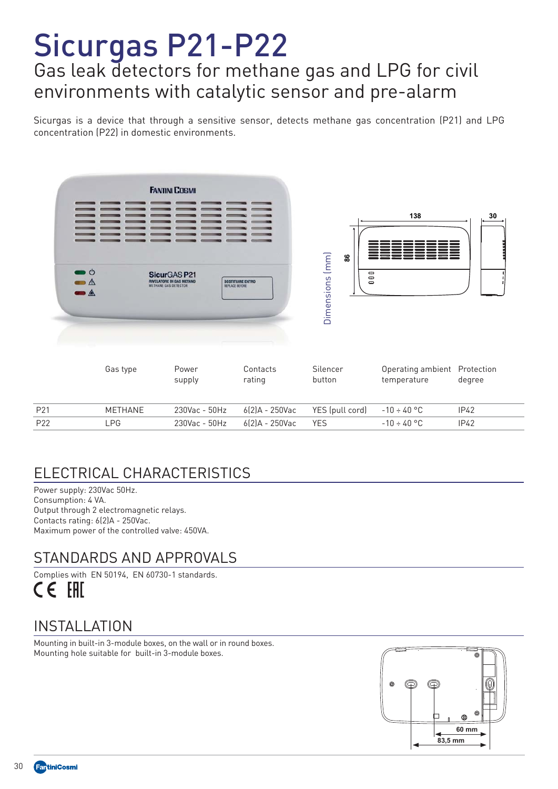# Sicurgas P21-P22 Gas leak detectors for methane gas and LPG for civil environments with catalytic sensor and pre-alarm

 Sicurgas is a device that through a sensitive sensor, detects methane gas concentration (P21) and LPG concentration (P22) in domestic environments.



| P21 | `HΔNF | $230$ Vac - 50Hz 6(2)A - 250Vac YES (pull cord) - 10 ÷ 40 °C |  |                   | IP42 |
|-----|-------|--------------------------------------------------------------|--|-------------------|------|
| P22 | I PG  |                                                              |  | $-10 \div 40$ °C. | IP42 |

## ELECTRICAL CHARACTERISTICS

 Power supply: 230Vac 50Hz. Consumption: 4 VA. Output through 2 electromagnetic relays. Contacts rating: 6(2)A - 250Vac. Maximum power of the controlled valve: 450VA.

#### STANDARDS AND APPROVALS



#### INSTALLATION

Mounting in built-in 3-module boxes, on the wall or in round boxes. Mounting hole suitable for built-in 3-module boxes.

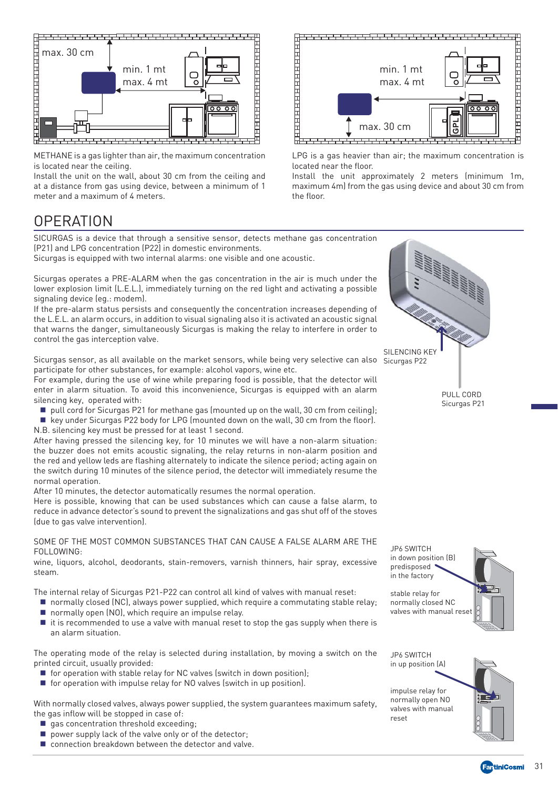

 METHANE is a gas lighter than air, the maximum concentration is located near the ceiling.

Install the unit on the wall, about 30 cm from the ceiling and at a distance from gas using device, between a minimum of 1 meter and a maximum of 4 meters.



LPG is a gas heavier than air; the maximum concentration is located near the floor.

Install the unit approximately 2 meters (minimum 1m, maximum 4m) from the gas using device and about 30 cm from the floor.

#### **OPERATION**

SICURGAS is a device that through a sensitive sensor, detects methane gas concentration (P21) and LPG concentration (P22) in domestic environments.

Sicurgas is equipped with two internal alarms: one visible and one acoustic.

Sicurgas operates a PRE-ALARM when the gas concentration in the air is much under the lower explosion limit (L.E.L.), immediately turning on the red light and activating a possible signaling device (eg.: modem).

If the pre-alarm status persists and consequently the concentration increases depending of the L.E.L. an alarm occurs, in addition to visual signaling also it is activated an acoustic signal that warns the danger, simultaneously Sicurgas is making the relay to interfere in order to control the gas interception valve.

Sicurgas sensor, as all available on the market sensors, while being very selective can also Sicurgas P22 participate for other substances, for example: alcohol vapors, wine etc.

For example, during the use of wine while preparing food is possible, that the detector will enter in alarm situation. To avoid this inconvenience, Sicurgas is equipped with an alarm silencing key, operated with:

 $\blacksquare$  pull cord for Sicurgas P21 for methane gas (mounted up on the wall, 30 cm from ceiling);

 $\blacksquare$  key under Sicurgas P22 body for LPG (mounted down on the wall, 30 cm from the floor). N.B. silencing key must be pressed for at least 1 second.

After having pressed the silencing key, for 10 minutes we will have a non-alarm situation: the buzzer does not emits acoustic signaling, the relay returns in non-alarm position and the red and yellow leds are flashing alternately to indicate the silence period; acting again on the switch during 10 minutes of the silence period, the detector will immediately resume the normal operation.

After 10 minutes, the detector automatically resumes the normal operation.

Here is possible, knowing that can be used substances which can cause a false alarm, to reduce in advance detector's sound to prevent the signalizations and gas shut off of the stoves (due to gas valve intervention).

#### SOME OF THE MOST COMMON SUBSTANCES THAT CAN CAUSE A FALSE ALARM ARE THE FOLLOWING:

wine, liquors, alcohol, deodorants, stain-removers, varnish thinners, hair spray, excessive steam.

The internal relay of Sicurgas P21-P22 can control all kind of valves with manual reset:

- normally closed (NC), always power supplied, which require a commutating stable relay; ■ normally open (NO), which require an impulse relay.
- $\blacksquare$  it is recommended to use a valve with manual reset to stop the gas supply when there is an alarm situation.

The operating mode of the relay is selected during installation, by moving a switch on the printed circuit, usually provided:

- for operation with stable relay for NC valves (switch in down position);
- $\blacksquare$  for operation with impulse relay for NO valves (switch in up position).

With normally closed valves, always power supplied, the system guarantees maximum safety, the gas inflow will be stopped in case of:

- gas concentration threshold exceeding;
- $\blacksquare$  power supply lack of the valve only or of the detector;
- connection breakdown between the detector and valve.



PULL CORD Sicurgas P21



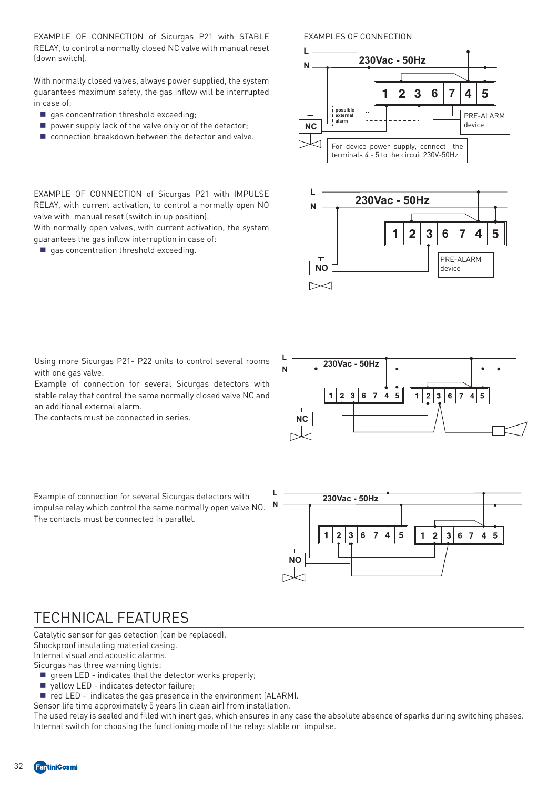EXAMPLE OF CONNECTION of Sicurgas P21 with STABLE RELAY, to control a normally closed NC valve with manual reset (down switch).

With normally closed valves, always power supplied, the system guarantees maximum safety, the gas inflow will be interrupted in case of:

gas concentration threshold exceeding;

valve with manual reset (switch in up position).

guarantees the gas inflow interruption in case of:  $\Box$  gas concentration threshold exceeding.

- **P** power supply lack of the valve only or of the detector;
- connection breakdown between the detector and valve.

 EXAMPLE OF CONNECTION of Sicurgas P21 with IMPULSE RELAY, with current activation, to control a normally open NO

With normally open valves, with current activation, the system

EXAMPLES OF CONNECTION





Using more Sicurgas P21- P22 units to control several rooms with one gas valve.

Example of connection for several Sicurgas detectors with stable relay that control the same normally closed valve NC and an additional external alarm.

The contacts must be connected in series.



Example of connection for several Sicurgas detectors with impulse relay which control the same normally open valve NO. The contacts must be connected in parallel.



#### TECHNICAL FEATURES

Catalytic sensor for gas detection (can be replaced).

Shockproof insulating material casing.

Internal visual and acoustic alarms.

Sicurgas has three warning lights:

- $\blacksquare$  green LED indicates that the detector works properly;
- yellow LED indicates detector failure;
- red LED indicates the gas presence in the environment (ALARM).

Sensor life time approximately 5 years (in clean air) from installation.

The used relay is sealed and filled with inert gas, which ensures in any case the absolute absence of sparks during switching phases. Internal switch for choosing the functioning mode of the relay: stable or impulse.